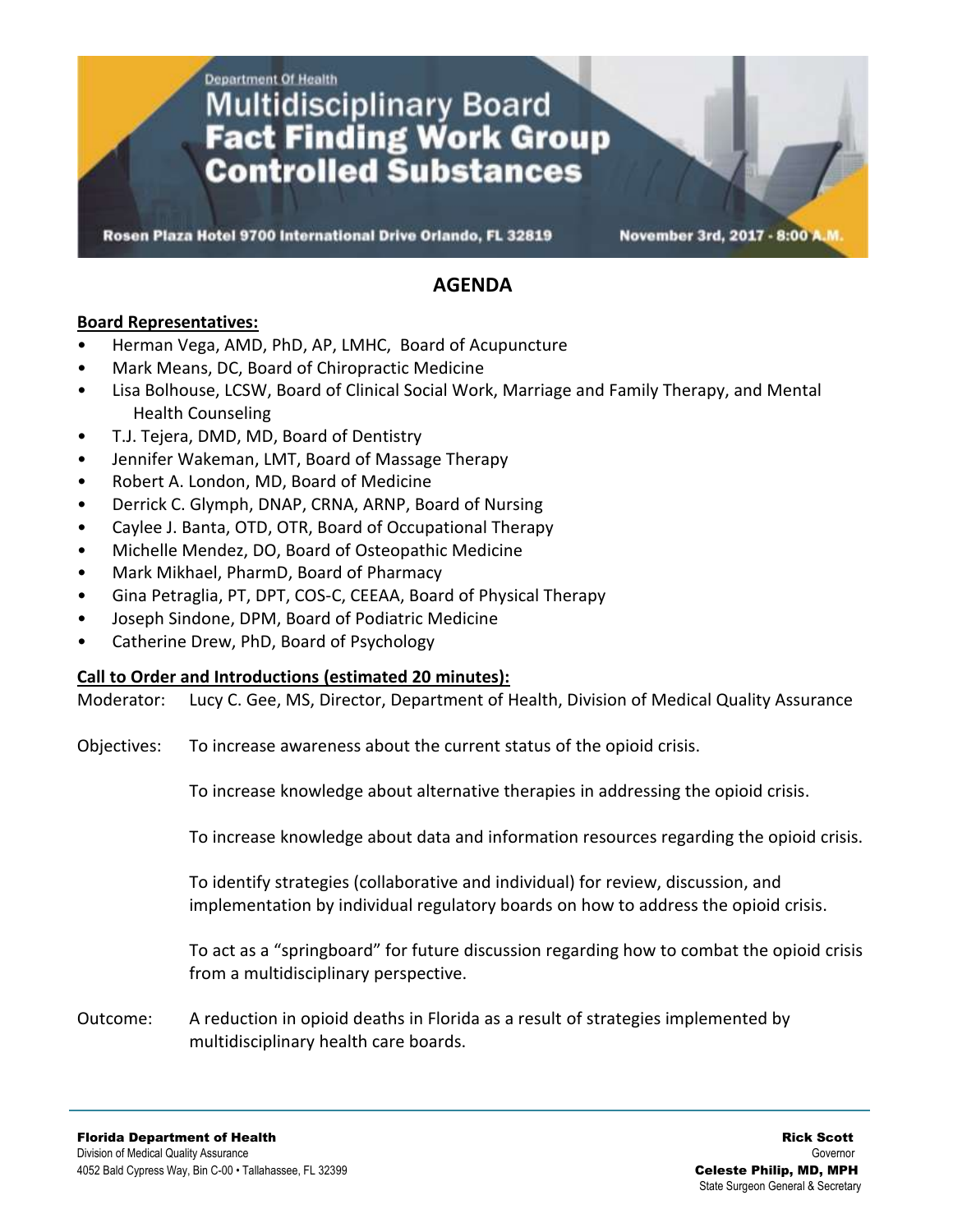**Department Of Health** 

# **Multidisciplinary Board Fact Finding Work Group Controlled Substances**

Rosen Plaza Hotel 9700 International Drive Orlando, FL 32819

November 3rd, 2017 - 8:00 A

### **AGENDA**

#### **Board Representatives:**

- Herman Vega, AMD, PhD, AP, LMHC, Board of Acupuncture
- Mark Means, DC, Board of Chiropractic Medicine
- Lisa Bolhouse, LCSW, Board of Clinical Social Work, Marriage and Family Therapy, and Mental Health Counseling
- T.J. Tejera, DMD, MD, Board of Dentistry
- Jennifer Wakeman, LMT, Board of Massage Therapy
- Robert A. London, MD, Board of Medicine
- Derrick C. Glymph, DNAP, CRNA, ARNP, Board of Nursing
- Caylee J. Banta, OTD, OTR, Board of Occupational Therapy
- Michelle Mendez, DO, Board of Osteopathic Medicine
- Mark Mikhael, PharmD, Board of Pharmacy
- Gina Petraglia, PT, DPT, COS-C, CEEAA, Board of Physical Therapy
- Joseph Sindone, DPM, Board of Podiatric Medicine
- Catherine Drew, PhD, Board of Psychology

#### **Call to Order and Introductions (estimated 20 minutes):**

Moderator: Lucy C. Gee, MS, Director, Department of Health, Division of Medical Quality Assurance

Objectives: To increase awareness about the current status of the opioid crisis.

To increase knowledge about alternative therapies in addressing the opioid crisis.

To increase knowledge about data and information resources regarding the opioid crisis.

To identify strategies (collaborative and individual) for review, discussion, and implementation by individual regulatory boards on how to address the opioid crisis.

To act as a "springboard" for future discussion regarding how to combat the opioid crisis from a multidisciplinary perspective.

Outcome: A reduction in opioid deaths in Florida as a result of strategies implemented by multidisciplinary health care boards.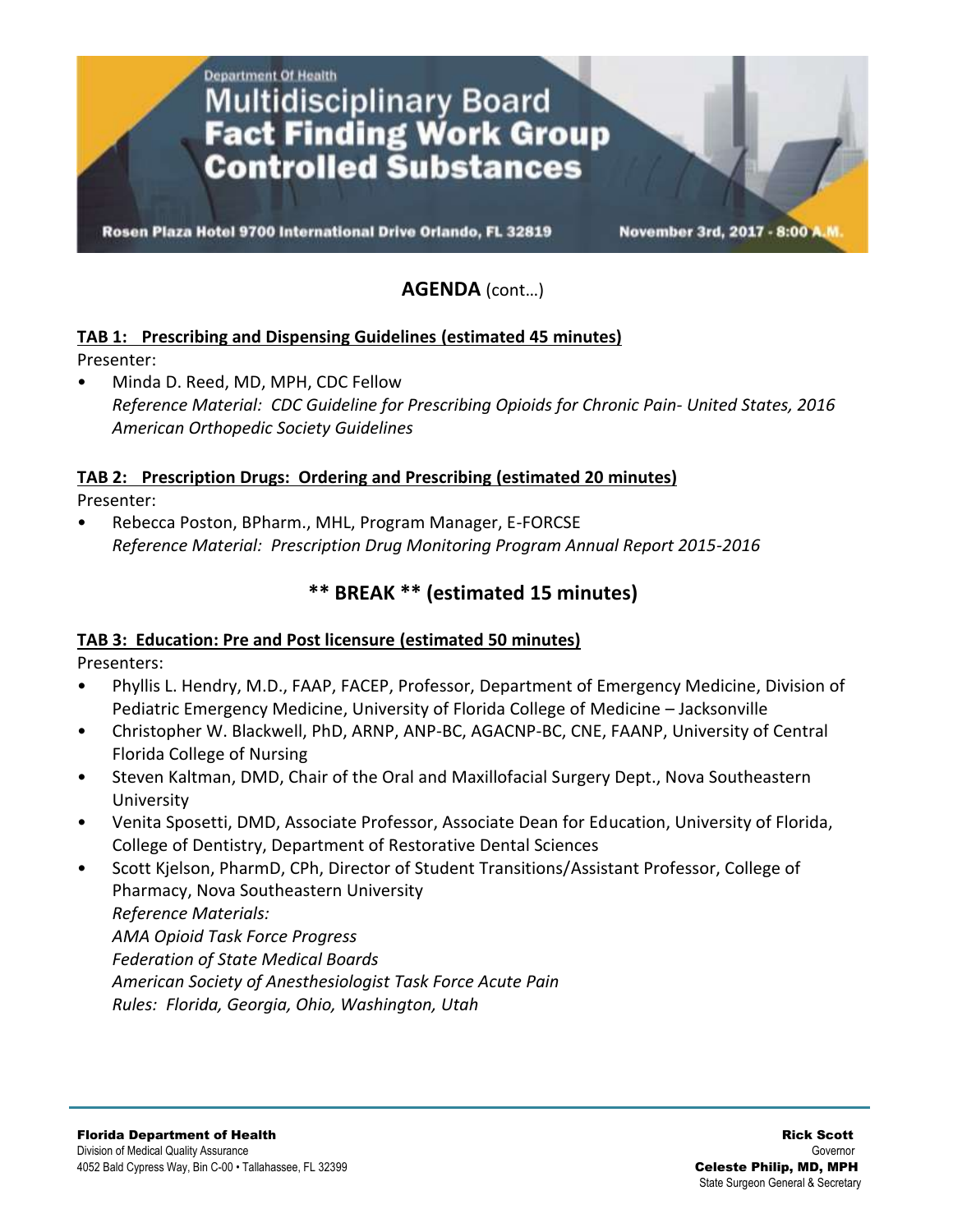**Department Of Health Multidisciplinary Board<br>Fact Finding Work Group Controlled Substances** 

Rosen Plaza Hotel 9700 International Drive Orlando, FL 32819

November 3rd, 2017 - 8:007

## **AGENDA** (cont…)

#### **TAB 1: Prescribing and Dispensing Guidelines (estimated 45 minutes)** Presenter:

• Minda D. Reed, MD, MPH, CDC Fellow *Reference Material: CDC Guideline for Prescribing Opioids for Chronic Pain- United States, 2016 American Orthopedic Society Guidelines*

#### **TAB 2: Prescription Drugs: Ordering and Prescribing (estimated 20 minutes)**

Presenter:

• Rebecca Poston, BPharm., MHL, Program Manager, E-FORCSE *Reference Material: Prescription Drug Monitoring Program Annual Report 2015-2016*

# **\*\* BREAK \*\* (estimated 15 minutes)**

#### **TAB 3: Education: Pre and Post licensure (estimated 50 minutes)**

Presenters:

- Phyllis L. Hendry, M.D., FAAP, FACEP, Professor, Department of Emergency Medicine, Division of Pediatric Emergency Medicine, University of Florida College of Medicine – Jacksonville
- Christopher W. Blackwell, PhD, ARNP, ANP-BC, AGACNP-BC, CNE, FAANP, University of Central Florida College of Nursing
- Steven Kaltman, DMD, Chair of the Oral and Maxillofacial Surgery Dept., Nova Southeastern University
- Venita Sposetti, DMD, Associate Professor, Associate Dean for Education, University of Florida, College of Dentistry, Department of Restorative Dental Sciences
- Scott Kjelson, PharmD, CPh, Director of Student Transitions/Assistant Professor, College of Pharmacy, Nova Southeastern University *Reference Materials: AMA Opioid Task Force Progress Federation of State Medical Boards American Society of Anesthesiologist Task Force Acute Pain Rules: Florida, Georgia, Ohio, Washington, Utah*